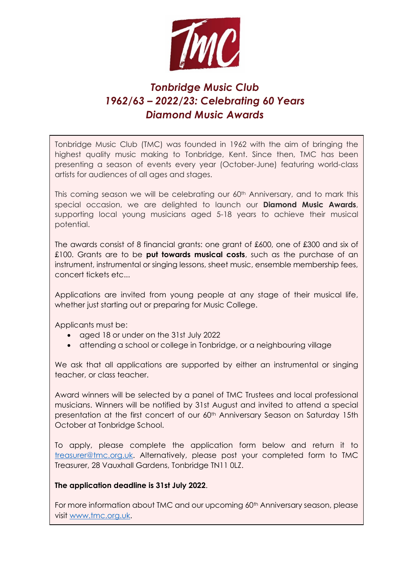

# *Tonbridge Music Club 1962/63 – 2022/23: Celebrating 60 Years Diamond Music Awards*

Tonbridge Music Club (TMC) was founded in 1962 with the aim of bringing the highest quality music making to Tonbridge, Kent. Since then, TMC has been presenting a season of events every year (October-June) featuring world-class artists for audiences of all ages and stages.

This coming season we will be celebrating our 60<sup>th</sup> Anniversary, and to mark this special occasion, we are delighted to launch our **Diamond Music Awards**, supporting local young musicians aged 5-18 years to achieve their musical potential.

The awards consist of 8 financial grants: one grant of £600, one of £300 and six of £100. Grants are to be **put towards musical costs**, such as the purchase of an instrument, instrumental or singing lessons, sheet music, ensemble membership fees, concert tickets etc...

Applications are invited from young people at any stage of their musical life, whether just starting out or preparing for Music College.

Applicants must be:

- aged 18 or under on the 31st July 2022
- attending a school or college in Tonbridge, or a neighbouring village

We ask that all applications are supported by either an instrumental or singing teacher, or class teacher.

Award winners will be selected by a panel of TMC Trustees and local professional musicians. Winners will be notified by 31st August and invited to attend a special presentation at the first concert of our 60<sup>th</sup> Anniversary Season on Saturday 15th October at Tonbridge School.

To apply, please complete the application form below and return it to [treasurer@tmc.org.uk.](mailto:treasurer@tmc.org.uk) Alternatively, please post your completed form to TMC Treasurer, 28 Vauxhall Gardens, Tonbridge TN11 0LZ.

#### **The application deadline is 31st July 2022**.

For more information about TMC and our upcoming 60<sup>th</sup> Anniversary season, please visit [www.tmc.org.uk.](http://www.tmc.org.uk/)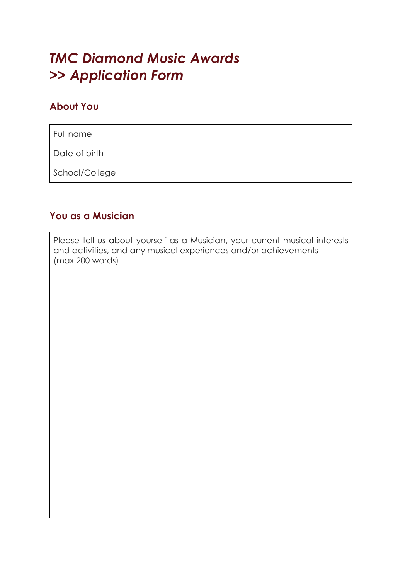# *TMC Diamond Music Awards >> Application Form*

#### **About You**

| Full name      |  |
|----------------|--|
| Date of birth  |  |
| School/College |  |

#### **You as a Musician**

Please tell us about yourself as a Musician, your current musical interests and activities, and any musical experiences and/or achievements (max 200 words)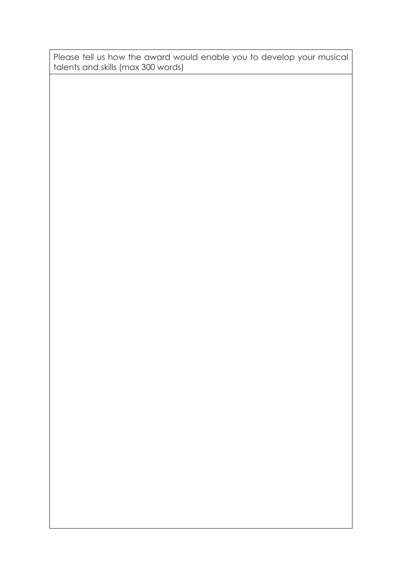Please tell us how the award would enable you to develop your musical talents and skills (max 300 words)